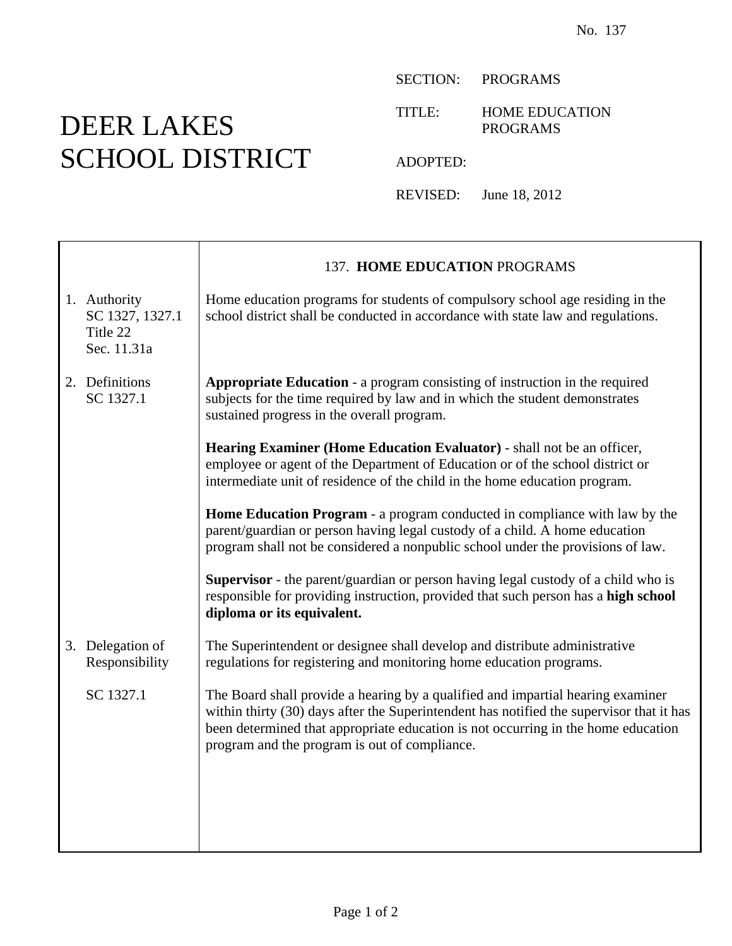## DEER LAKES SCHOOL DISTRICT

Γ

SECTION: PROGRAMS

TITLE: HOME EDUCATION PROGRAMS

ADOPTED:

REVISED: June 18, 2012

|                                                            | 137. HOME EDUCATION PROGRAMS                                                                                                                                                                                                                                                                                      |
|------------------------------------------------------------|-------------------------------------------------------------------------------------------------------------------------------------------------------------------------------------------------------------------------------------------------------------------------------------------------------------------|
| 1. Authority<br>SC 1327, 1327.1<br>Title 22<br>Sec. 11.31a | Home education programs for students of compulsory school age residing in the<br>school district shall be conducted in accordance with state law and regulations.                                                                                                                                                 |
| 2. Definitions<br>SC 1327.1                                | <b>Appropriate Education - a program consisting of instruction in the required</b><br>subjects for the time required by law and in which the student demonstrates<br>sustained progress in the overall program.                                                                                                   |
|                                                            | Hearing Examiner (Home Education Evaluator) - shall not be an officer,<br>employee or agent of the Department of Education or of the school district or<br>intermediate unit of residence of the child in the home education program.                                                                             |
|                                                            | Home Education Program - a program conducted in compliance with law by the<br>parent/guardian or person having legal custody of a child. A home education<br>program shall not be considered a nonpublic school under the provisions of law.                                                                      |
|                                                            | <b>Supervisor</b> - the parent/guardian or person having legal custody of a child who is<br>responsible for providing instruction, provided that such person has a high school<br>diploma or its equivalent.                                                                                                      |
| 3. Delegation of<br>Responsibility                         | The Superintendent or designee shall develop and distribute administrative<br>regulations for registering and monitoring home education programs.                                                                                                                                                                 |
| SC 1327.1                                                  | The Board shall provide a hearing by a qualified and impartial hearing examiner<br>within thirty (30) days after the Superintendent has notified the supervisor that it has<br>been determined that appropriate education is not occurring in the home education<br>program and the program is out of compliance. |
|                                                            |                                                                                                                                                                                                                                                                                                                   |
|                                                            |                                                                                                                                                                                                                                                                                                                   |